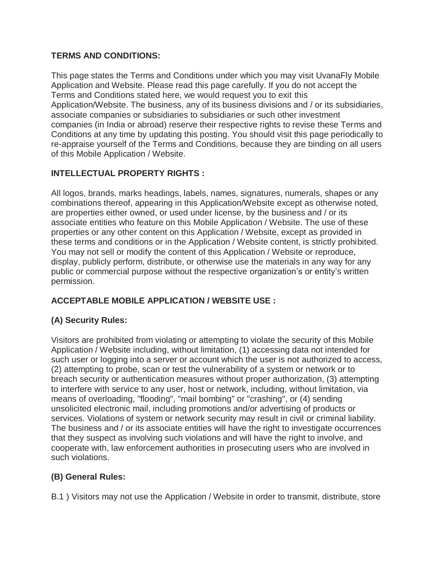# **TERMS AND CONDITIONS:**

This page states the Terms and Conditions under which you may visit UvanaFly Mobile Application and Website. Please read this page carefully. If you do not accept the Terms and Conditions stated here, we would request you to exit this Application/Website. The business, any of its business divisions and / or its subsidiaries, associate companies or subsidiaries to subsidiaries or such other investment companies (in India or abroad) reserve their respective rights to revise these Terms and Conditions at any time by updating this posting. You should visit this page periodically to re-appraise yourself of the Terms and Conditions, because they are binding on all users of this Mobile Application / Website.

# **INTELLECTUAL PROPERTY RIGHTS :**

All logos, brands, marks headings, labels, names, signatures, numerals, shapes or any combinations thereof, appearing in this Application/Website except as otherwise noted, are properties either owned, or used under license, by the business and / or its associate entities who feature on this Mobile Application / Website. The use of these properties or any other content on this Application / Website, except as provided in these terms and conditions or in the Application / Website content, is strictly prohibited. You may not sell or modify the content of this Application / Website or reproduce, display, publicly perform, distribute, or otherwise use the materials in any way for any public or commercial purpose without the respective organization's or entity's written permission.

# **ACCEPTABLE MOBILE APPLICATION / WEBSITE USE :**

# **(A) Security Rules:**

Visitors are prohibited from violating or attempting to violate the security of this Mobile Application / Website including, without limitation, (1) accessing data not intended for such user or logging into a server or account which the user is not authorized to access, (2) attempting to probe, scan or test the vulnerability of a system or network or to breach security or authentication measures without proper authorization, (3) attempting to interfere with service to any user, host or network, including, without limitation, via means of overloading, "flooding", "mail bombing" or "crashing", or (4) sending unsolicited electronic mail, including promotions and/or advertising of products or services. Violations of system or network security may result in civil or criminal liability. The business and / or its associate entities will have the right to investigate occurrences that they suspect as involving such violations and will have the right to involve, and cooperate with, law enforcement authorities in prosecuting users who are involved in such violations.

# **(B) General Rules:**

B.1 ) Visitors may not use the Application / Website in order to transmit, distribute, store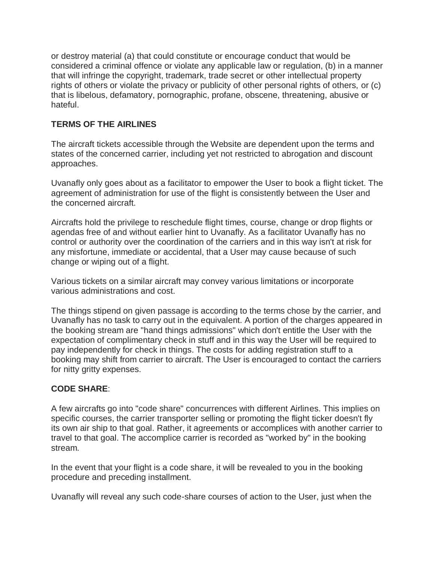or destroy material (a) that could constitute or encourage conduct that would be considered a criminal offence or violate any applicable law or regulation, (b) in a manner that will infringe the copyright, trademark, trade secret or other intellectual property rights of others or violate the privacy or publicity of other personal rights of others, or (c) that is libelous, defamatory, pornographic, profane, obscene, threatening, abusive or hateful.

# **TERMS OF THE AIRLINES**

The aircraft tickets accessible through the Website are dependent upon the terms and states of the concerned carrier, including yet not restricted to abrogation and discount approaches.

Uvanafly only goes about as a facilitator to empower the User to book a flight ticket. The agreement of administration for use of the flight is consistently between the User and the concerned aircraft.

Aircrafts hold the privilege to reschedule flight times, course, change or drop flights or agendas free of and without earlier hint to Uvanafly. As a facilitator Uvanafly has no control or authority over the coordination of the carriers and in this way isn't at risk for any misfortune, immediate or accidental, that a User may cause because of such change or wiping out of a flight.

Various tickets on a similar aircraft may convey various limitations or incorporate various administrations and cost.

The things stipend on given passage is according to the terms chose by the carrier, and Uvanafly has no task to carry out in the equivalent. A portion of the charges appeared in the booking stream are "hand things admissions" which don't entitle the User with the expectation of complimentary check in stuff and in this way the User will be required to pay independently for check in things. The costs for adding registration stuff to a booking may shift from carrier to aircraft. The User is encouraged to contact the carriers for nitty gritty expenses.

# **CODE SHARE**:

A few aircrafts go into "code share" concurrences with different Airlines. This implies on specific courses, the carrier transporter selling or promoting the flight ticker doesn't fly its own air ship to that goal. Rather, it agreements or accomplices with another carrier to travel to that goal. The accomplice carrier is recorded as "worked by" in the booking stream.

In the event that your flight is a code share, it will be revealed to you in the booking procedure and preceding installment.

Uvanafly will reveal any such code-share courses of action to the User, just when the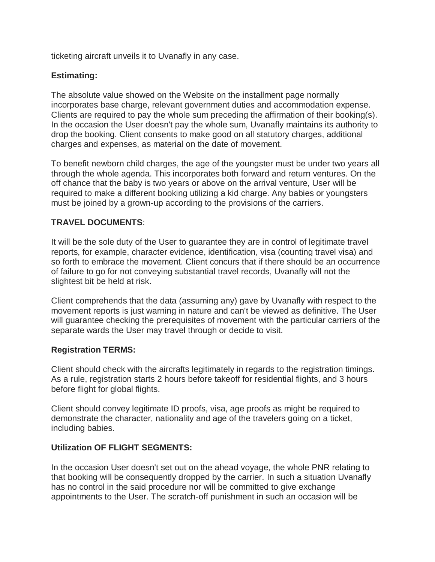ticketing aircraft unveils it to Uvanafly in any case.

#### **Estimating:**

The absolute value showed on the Website on the installment page normally incorporates base charge, relevant government duties and accommodation expense. Clients are required to pay the whole sum preceding the affirmation of their booking(s). In the occasion the User doesn't pay the whole sum, Uvanafly maintains its authority to drop the booking. Client consents to make good on all statutory charges, additional charges and expenses, as material on the date of movement.

To benefit newborn child charges, the age of the youngster must be under two years all through the whole agenda. This incorporates both forward and return ventures. On the off chance that the baby is two years or above on the arrival venture, User will be required to make a different booking utilizing a kid charge. Any babies or youngsters must be joined by a grown-up according to the provisions of the carriers.

#### **TRAVEL DOCUMENTS**:

It will be the sole duty of the User to guarantee they are in control of legitimate travel reports, for example, character evidence, identification, visa (counting travel visa) and so forth to embrace the movement. Client concurs that if there should be an occurrence of failure to go for not conveying substantial travel records, Uvanafly will not the slightest bit be held at risk.

Client comprehends that the data (assuming any) gave by Uvanafly with respect to the movement reports is just warning in nature and can't be viewed as definitive. The User will guarantee checking the prerequisites of movement with the particular carriers of the separate wards the User may travel through or decide to visit.

#### **Registration TERMS:**

Client should check with the aircrafts legitimately in regards to the registration timings. As a rule, registration starts 2 hours before takeoff for residential flights, and 3 hours before flight for global flights.

Client should convey legitimate ID proofs, visa, age proofs as might be required to demonstrate the character, nationality and age of the travelers going on a ticket, including babies.

#### **Utilization OF FLIGHT SEGMENTS:**

In the occasion User doesn't set out on the ahead voyage, the whole PNR relating to that booking will be consequently dropped by the carrier. In such a situation Uvanafly has no control in the said procedure nor will be committed to give exchange appointments to the User. The scratch-off punishment in such an occasion will be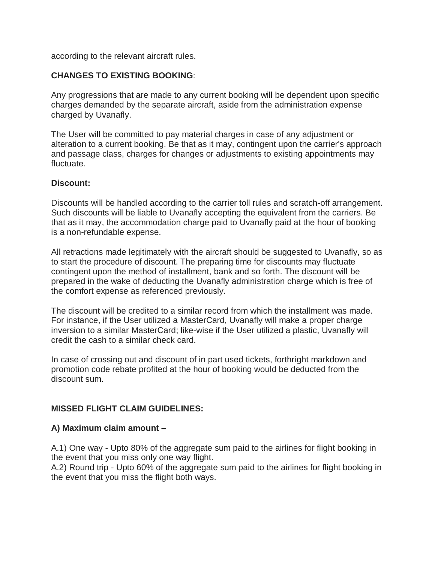according to the relevant aircraft rules.

#### **CHANGES TO EXISTING BOOKING**:

Any progressions that are made to any current booking will be dependent upon specific charges demanded by the separate aircraft, aside from the administration expense charged by Uvanafly.

The User will be committed to pay material charges in case of any adjustment or alteration to a current booking. Be that as it may, contingent upon the carrier's approach and passage class, charges for changes or adjustments to existing appointments may fluctuate.

#### **Discount:**

Discounts will be handled according to the carrier toll rules and scratch-off arrangement. Such discounts will be liable to Uvanafly accepting the equivalent from the carriers. Be that as it may, the accommodation charge paid to Uvanafly paid at the hour of booking is a non-refundable expense.

All retractions made legitimately with the aircraft should be suggested to Uvanafly, so as to start the procedure of discount. The preparing time for discounts may fluctuate contingent upon the method of installment, bank and so forth. The discount will be prepared in the wake of deducting the Uvanafly administration charge which is free of the comfort expense as referenced previously.

The discount will be credited to a similar record from which the installment was made. For instance, if the User utilized a MasterCard, Uvanafly will make a proper charge inversion to a similar MasterCard; like-wise if the User utilized a plastic, Uvanafly will credit the cash to a similar check card.

In case of crossing out and discount of in part used tickets, forthright markdown and promotion code rebate profited at the hour of booking would be deducted from the discount sum.

#### **MISSED FLIGHT CLAIM GUIDELINES:**

#### **A) Maximum claim amount –**

A.1) One way - Upto 80% of the aggregate sum paid to the airlines for flight booking in the event that you miss only one way flight.

A.2) Round trip - Upto 60% of the aggregate sum paid to the airlines for flight booking in the event that you miss the flight both ways.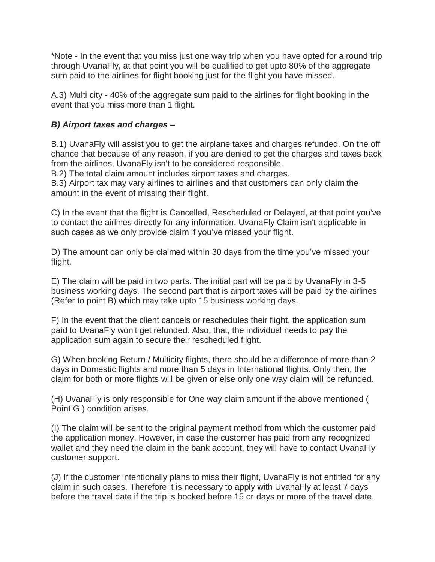\*Note - In the event that you miss just one way trip when you have opted for a round trip through UvanaFly, at that point you will be qualified to get upto 80% of the aggregate sum paid to the airlines for flight booking just for the flight you have missed.

A.3) Multi city - 40% of the aggregate sum paid to the airlines for flight booking in the event that you miss more than 1 flight.

# *B) Airport taxes and charges –*

B.1) UvanaFly will assist you to get the airplane taxes and charges refunded. On the off chance that because of any reason, if you are denied to get the charges and taxes back from the airlines, UvanaFly isn't to be considered responsible.

B.2) The total claim amount includes airport taxes and charges.

B.3) Airport tax may vary airlines to airlines and that customers can only claim the amount in the event of missing their flight.

C) In the event that the flight is Cancelled, Rescheduled or Delayed, at that point you've to contact the airlines directly for any information. UvanaFly Claim isn't applicable in such cases as we only provide claim if you've missed your flight.

D) The amount can only be claimed within 30 days from the time you've missed your flight.

E) The claim will be paid in two parts. The initial part will be paid by UvanaFly in 3-5 business working days. The second part that is airport taxes will be paid by the airlines (Refer to point B) which may take upto 15 business working days.

F) In the event that the client cancels or reschedules their flight, the application sum paid to UvanaFly won't get refunded. Also, that, the individual needs to pay the application sum again to secure their rescheduled flight.

G) When booking Return / Multicity flights, there should be a difference of more than 2 days in Domestic flights and more than 5 days in International flights. Only then, the claim for both or more flights will be given or else only one way claim will be refunded.

(H) UvanaFly is only responsible for One way claim amount if the above mentioned ( Point G ) condition arises.

(I) The claim will be sent to the original payment method from which the customer paid the application money. However, in case the customer has paid from any recognized wallet and they need the claim in the bank account, they will have to contact UvanaFly customer support.

(J) If the customer intentionally plans to miss their flight, UvanaFly is not entitled for any claim in such cases. Therefore it is necessary to apply with UvanaFly at least 7 days before the travel date if the trip is booked before 15 or days or more of the travel date.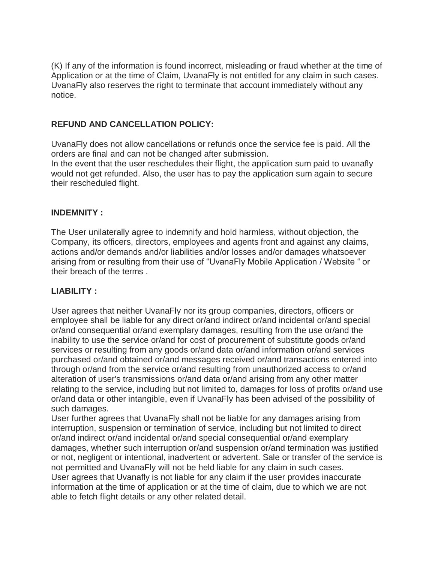(K) If any of the information is found incorrect, misleading or fraud whether at the time of Application or at the time of Claim, UvanaFly is not entitled for any claim in such cases. UvanaFly also reserves the right to terminate that account immediately without any notice.

# **REFUND AND CANCELLATION POLICY:**

UvanaFly does not allow cancellations or refunds once the service fee is paid. All the orders are final and can not be changed after submission.

In the event that the user reschedules their flight, the application sum paid to uvanafly would not get refunded. Also, the user has to pay the application sum again to secure their rescheduled flight.

#### **INDEMNITY :**

The User unilaterally agree to indemnify and hold harmless, without objection, the Company, its officers, directors, employees and agents front and against any claims, actions and/or demands and/or liabilities and/or losses and/or damages whatsoever arising from or resulting from their use of "UvanaFly Mobile Application / Website " or their breach of the terms .

# **LIABILITY :**

User agrees that neither UvanaFly nor its group companies, directors, officers or employee shall be liable for any direct or/and indirect or/and incidental or/and special or/and consequential or/and exemplary damages, resulting from the use or/and the inability to use the service or/and for cost of procurement of substitute goods or/and services or resulting from any goods or/and data or/and information or/and services purchased or/and obtained or/and messages received or/and transactions entered into through or/and from the service or/and resulting from unauthorized access to or/and alteration of user's transmissions or/and data or/and arising from any other matter relating to the service, including but not limited to, damages for loss of profits or/and use or/and data or other intangible, even if UvanaFly has been advised of the possibility of such damages.

User further agrees that UvanaFly shall not be liable for any damages arising from interruption, suspension or termination of service, including but not limited to direct or/and indirect or/and incidental or/and special consequential or/and exemplary damages, whether such interruption or/and suspension or/and termination was justified or not, negligent or intentional, inadvertent or advertent. Sale or transfer of the service is not permitted and UvanaFly will not be held liable for any claim in such cases. User agrees that Uvanafly is not liable for any claim if the user provides inaccurate information at the time of application or at the time of claim, due to which we are not able to fetch flight details or any other related detail.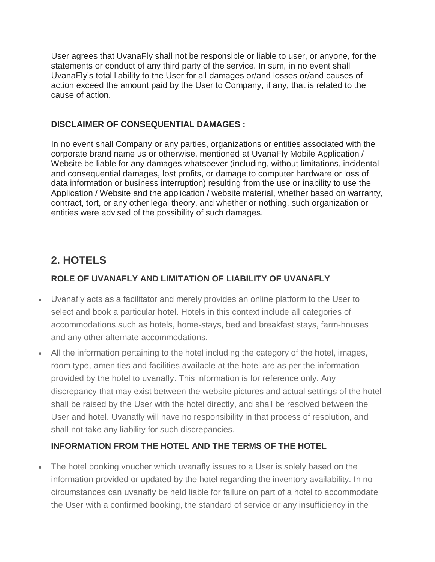User agrees that UvanaFly shall not be responsible or liable to user, or anyone, for the statements or conduct of any third party of the service. In sum, in no event shall UvanaFly's total liability to the User for all damages or/and losses or/and causes of action exceed the amount paid by the User to Company, if any, that is related to the cause of action.

# **DISCLAIMER OF CONSEQUENTIAL DAMAGES :**

In no event shall Company or any parties, organizations or entities associated with the corporate brand name us or otherwise, mentioned at UvanaFly Mobile Application / Website be liable for any damages whatsoever (including, without limitations, incidental and consequential damages, lost profits, or damage to computer hardware or loss of data information or business interruption) resulting from the use or inability to use the Application / Website and the application / website material, whether based on warranty, contract, tort, or any other legal theory, and whether or nothing, such organization or entities were advised of the possibility of such damages.

# **2. HOTELS**

# **ROLE OF UVANAFLY AND LIMITATION OF LIABILITY OF UVANAFLY**

- Uvanafly acts as a facilitator and merely provides an online platform to the User to select and book a particular hotel. Hotels in this context include all categories of accommodations such as hotels, home-stays, bed and breakfast stays, farm-houses and any other alternate accommodations.
- All the information pertaining to the hotel including the category of the hotel, images, room type, amenities and facilities available at the hotel are as per the information provided by the hotel to uvanafly. This information is for reference only. Any discrepancy that may exist between the website pictures and actual settings of the hotel shall be raised by the User with the hotel directly, and shall be resolved between the User and hotel. Uvanafly will have no responsibility in that process of resolution, and shall not take any liability for such discrepancies.

# **INFORMATION FROM THE HOTEL AND THE TERMS OF THE HOTEL**

 The hotel booking voucher which uvanafly issues to a User is solely based on the information provided or updated by the hotel regarding the inventory availability. In no circumstances can uvanafly be held liable for failure on part of a hotel to accommodate the User with a confirmed booking, the standard of service or any insufficiency in the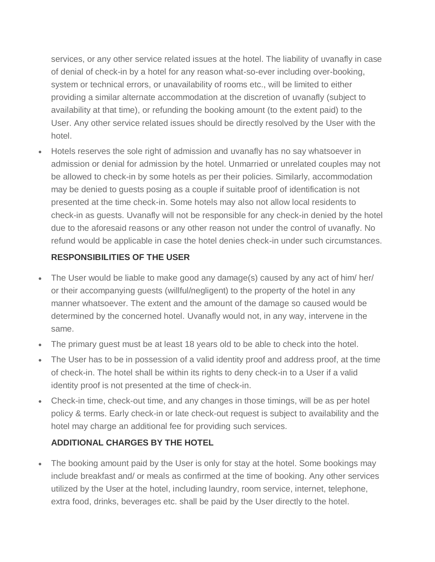services, or any other service related issues at the hotel. The liability of uvanafly in case of denial of check-in by a hotel for any reason what-so-ever including over-booking, system or technical errors, or unavailability of rooms etc., will be limited to either providing a similar alternate accommodation at the discretion of uvanafly (subject to availability at that time), or refunding the booking amount (to the extent paid) to the User. Any other service related issues should be directly resolved by the User with the hotel.

 Hotels reserves the sole right of admission and uvanafly has no say whatsoever in admission or denial for admission by the hotel. Unmarried or unrelated couples may not be allowed to check-in by some hotels as per their policies. Similarly, accommodation may be denied to guests posing as a couple if suitable proof of identification is not presented at the time check-in. Some hotels may also not allow local residents to check-in as guests. Uvanafly will not be responsible for any check-in denied by the hotel due to the aforesaid reasons or any other reason not under the control of uvanafly. No refund would be applicable in case the hotel denies check-in under such circumstances.

# **RESPONSIBILITIES OF THE USER**

- The User would be liable to make good any damage(s) caused by any act of him/ her/ or their accompanying guests (willful/negligent) to the property of the hotel in any manner whatsoever. The extent and the amount of the damage so caused would be determined by the concerned hotel. Uvanafly would not, in any way, intervene in the same.
- The primary guest must be at least 18 years old to be able to check into the hotel.
- The User has to be in possession of a valid identity proof and address proof, at the time of check-in. The hotel shall be within its rights to deny check-in to a User if a valid identity proof is not presented at the time of check-in.
- Check-in time, check-out time, and any changes in those timings, will be as per hotel policy & terms. Early check-in or late check-out request is subject to availability and the hotel may charge an additional fee for providing such services.

# **ADDITIONAL CHARGES BY THE HOTEL**

• The booking amount paid by the User is only for stay at the hotel. Some bookings may include breakfast and/ or meals as confirmed at the time of booking. Any other services utilized by the User at the hotel, including laundry, room service, internet, telephone, extra food, drinks, beverages etc. shall be paid by the User directly to the hotel.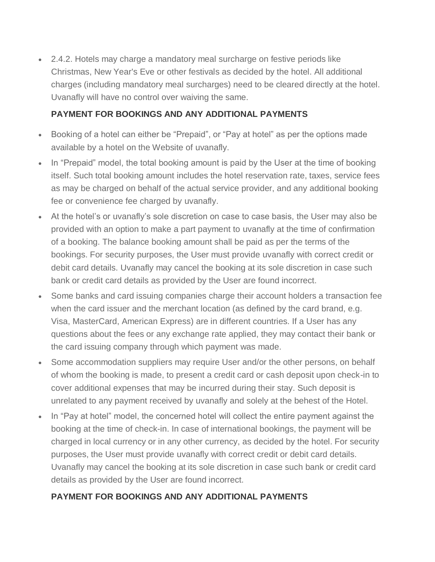• 2.4.2. Hotels may charge a mandatory meal surcharge on festive periods like Christmas, New Year's Eve or other festivals as decided by the hotel. All additional charges (including mandatory meal surcharges) need to be cleared directly at the hotel. Uvanafly will have no control over waiving the same.

# **PAYMENT FOR BOOKINGS AND ANY ADDITIONAL PAYMENTS**

- Booking of a hotel can either be "Prepaid", or "Pay at hotel" as per the options made available by a hotel on the Website of uvanafly.
- In "Prepaid" model, the total booking amount is paid by the User at the time of booking itself. Such total booking amount includes the hotel reservation rate, taxes, service fees as may be charged on behalf of the actual service provider, and any additional booking fee or convenience fee charged by uvanafly.
- At the hotel's or uvanafly's sole discretion on case to case basis, the User may also be provided with an option to make a part payment to uvanafly at the time of confirmation of a booking. The balance booking amount shall be paid as per the terms of the bookings. For security purposes, the User must provide uvanafly with correct credit or debit card details. Uvanafly may cancel the booking at its sole discretion in case such bank or credit card details as provided by the User are found incorrect.
- Some banks and card issuing companies charge their account holders a transaction fee when the card issuer and the merchant location (as defined by the card brand, e.g. Visa, MasterCard, American Express) are in different countries. If a User has any questions about the fees or any exchange rate applied, they may contact their bank or the card issuing company through which payment was made.
- Some accommodation suppliers may require User and/or the other persons, on behalf of whom the booking is made, to present a credit card or cash deposit upon check-in to cover additional expenses that may be incurred during their stay. Such deposit is unrelated to any payment received by uvanafly and solely at the behest of the Hotel.
- In "Pay at hotel" model, the concerned hotel will collect the entire payment against the booking at the time of check-in. In case of international bookings, the payment will be charged in local currency or in any other currency, as decided by the hotel. For security purposes, the User must provide uvanafly with correct credit or debit card details. Uvanafly may cancel the booking at its sole discretion in case such bank or credit card details as provided by the User are found incorrect.

# **PAYMENT FOR BOOKINGS AND ANY ADDITIONAL PAYMENTS**